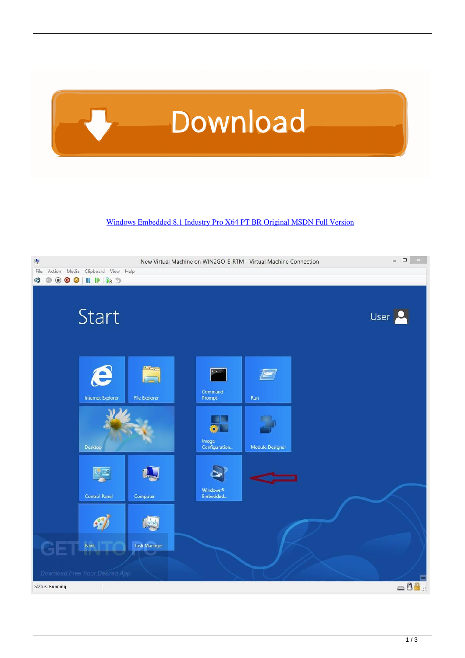

[Windows Embedded 8.1 Industry Pro X64 PT BR Original MSDN Full Version](https://tlniurl.com/1qaxgv)

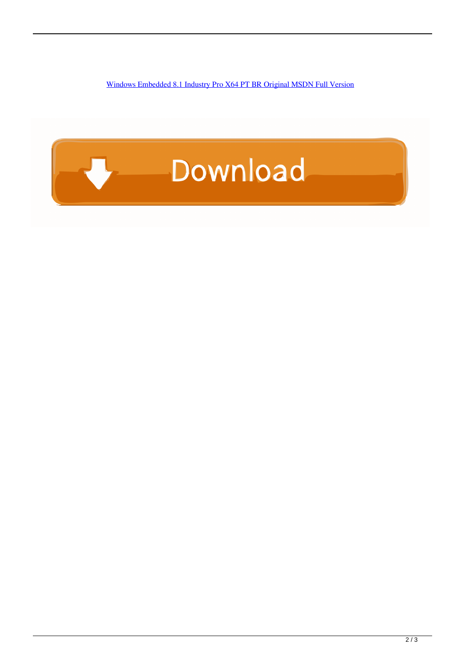[Windows Embedded 8.1 Industry Pro X64 PT BR Original MSDN Full Version](https://tlniurl.com/1qaxgv)